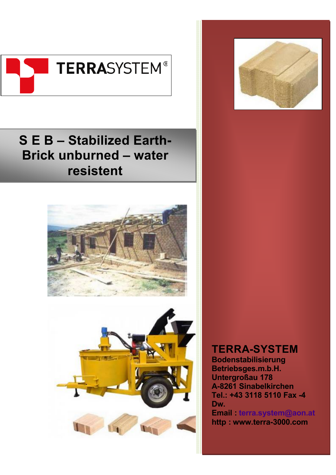

# **S E B – Stabilized Earth-Brick unburned – water resistent**







## **TERRA-SYSTEM**

**Bodenstabilisierung Betriebsges.m.b.H. Untergroßau 178 A-8261 Sinabelkirchen Tel.: +43 3118 5110 Fax -4 Dw. Email : terra.system@aon.at http : <www.terra-3000.com>**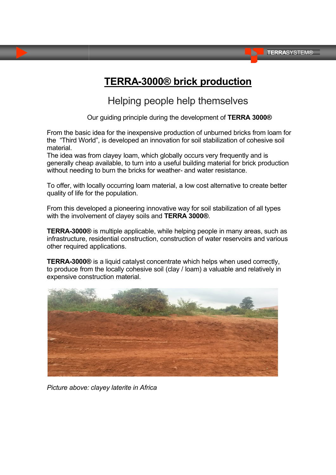## **TERRA-3000® brick production**

Helping people help themselves

Our guiding principle during the development of **TERRA 3000®**

From the basic idea for the inexpensive production of unburned bricks from loam for the "Third World", is developed an innovation for soil stabilization of cohesive soil material.

The idea was from clayey loam, which globally occurs very frequently and is generally cheap available, to turn into a useful building material for brick production without needing to burn the bricks for weather- and water resistance.

To offer, with locally occurring loam material, a low cost alternative to create better quality of life for the population.

From this developed a pioneering innovative way for soil stabilization of all types with the involvement of clayey soils and **TERRA 3000®**.

**TERRA-3000®** is multiple applicable, while helping people in many areas, such as infrastructure, residential construction, construction of water reservoirs and various other required applications.

**TERRA-3000®** is a liquid catalyst concentrate which helps when used correctly, to produce from the locally cohesive soil (clay / loam) a valuable and relatively in expensive construction material.



*Picture above: clayey laterite in Africa*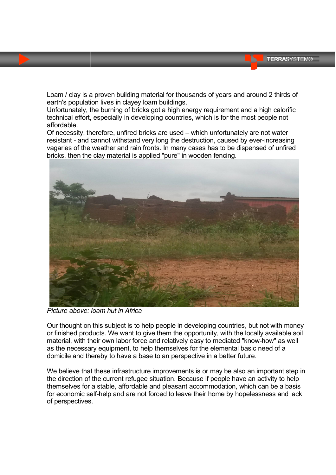Loam / clay is a proven building material for thousands of years and around 2 thirds of earth's population lives in clayey loam buildings.

Unfortunately, the burning of bricks got a high energy requirement and a high calorific technical effort, especially in developing countries, which is for the most people not affordable.

Of necessity, therefore, unfired bricks are used – which unfortunately are not water resistant - and cannot withstand very long the destruction, caused by ever-increasing vagaries of the weather and rain fronts. In many cases has to be dispensed of unfired bricks, then the clay material is applied "pure" in wooden fencing.



*Picture above: loam hut in Africa*

Our thought on this subject is to help people in developing countries, but not with money or finished products. We want to give them the opportunity, with the locally available soil material, with their own labor force and relatively easy to mediated "know-how" as well as the necessary equipment, to help themselves for the elemental basic need of a domicile and thereby to have a base to an perspective in a better future.

We believe that these infrastructure improvements is or may be also an important step in the direction of the current refugee situation. Because if people have an activity to help themselves for a stable, affordable and pleasant accommodation, which can be a basis for economic self-help and are not forced to leave their home by hopelessness and lack of perspectives.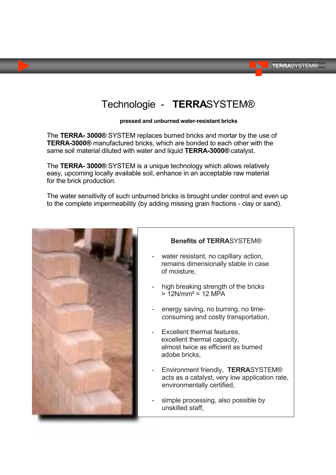## Technologie - **TERRA**SYSTEM®

#### **pressed and unburned water-resistant bricks**

The **TERRA- 3000®** SYSTEM replaces burned bricks and mortar by the use of **TERRA-3000®** manufactured bricks, which are bonded to each other with the same soil material diluted with water and liquid **TERRA-3000®** catalyst.

The **TERRA- 3000®** SYSTEM is a unique technology which allows relatively easy, upcoming locally available soil, enhance in an acceptable raw material for the brick production.

The water sensitivity of such unburned bricks is brought under control and even up to the complete impermeability (by adding missing grain fractions - clay or sand).



#### **Benefits of TERRA**SYSTEM®

- water resistant, no capillary action, remains dimensionally stable in case of moisture,
- high breaking strength of the bricks  $> 12$ N/mm<sup>2</sup> = 12 MPA
- energy saving, no burning, no timeconsuming and costly transportation,
- Excellent thermal features. excellent thermal capacity, almost twice as efficient as burned adobe bricks,
- Environment friendly, **TERRA**SYSTEM® acts as a catalyst, very low application rate, environmentally certified,
- simple processing, also possible by unskilled staff,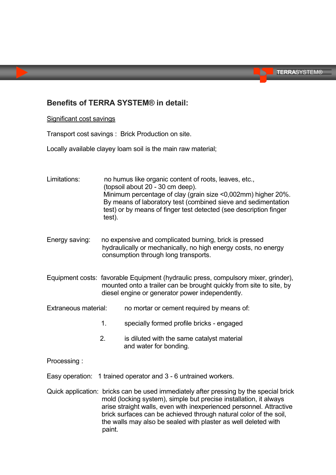#### **Benefits of TERRA SYSTEM® in detail:**

#### Significant cost savings

Transport cost savings : Brick Production on site.

Locally available clayey loam soil is the main raw material;

| Limitations:                                                                                                                                               | test).                                                                                                                                                                                                       | no humus like organic content of roots, leaves, etc.,<br>(topsoil about 20 - 30 cm deep).<br>Minimum percentage of clay (grain size <0,002mm) higher 20%.<br>By means of laboratory test (combined sieve and sedimentation<br>test) or by means of finger test detected (see description finger |
|------------------------------------------------------------------------------------------------------------------------------------------------------------|--------------------------------------------------------------------------------------------------------------------------------------------------------------------------------------------------------------|-------------------------------------------------------------------------------------------------------------------------------------------------------------------------------------------------------------------------------------------------------------------------------------------------|
| Energy saving:                                                                                                                                             | no expensive and complicated burning, brick is pressed<br>hydraulically or mechanically, no high energy costs, no energy<br>consumption through long transports.                                             |                                                                                                                                                                                                                                                                                                 |
|                                                                                                                                                            | Equipment costs: favorable Equipment (hydraulic press, compulsory mixer, grinder),<br>mounted onto a trailer can be brought quickly from site to site, by<br>diesel engine or generator power independently. |                                                                                                                                                                                                                                                                                                 |
| Extraneous material:                                                                                                                                       |                                                                                                                                                                                                              | no mortar or cement required by means of:                                                                                                                                                                                                                                                       |
|                                                                                                                                                            | 1.                                                                                                                                                                                                           | specially formed profile bricks - engaged                                                                                                                                                                                                                                                       |
|                                                                                                                                                            | 2.                                                                                                                                                                                                           | is diluted with the same catalyst material<br>and water for bonding.                                                                                                                                                                                                                            |
| Processing:                                                                                                                                                |                                                                                                                                                                                                              |                                                                                                                                                                                                                                                                                                 |
| Easy operation: 1 trained operator and 3 - 6 untrained workers.                                                                                            |                                                                                                                                                                                                              |                                                                                                                                                                                                                                                                                                 |
| Quick application: bricks can be used immediately after pressing by the special brick<br>mold (locking system), simple but precise installation, it always |                                                                                                                                                                                                              |                                                                                                                                                                                                                                                                                                 |

arise straight walls, even with inexperienced personnel. Attractive brick surfaces can be achieved through natural color of the soil, the walls may also be sealed with plaster as well deleted with paint.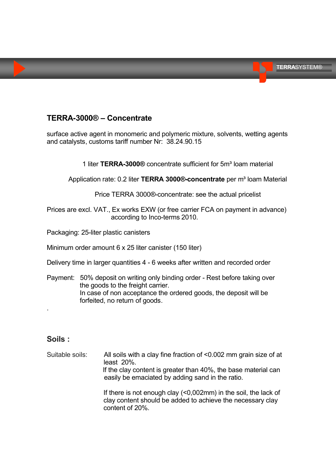#### **TERRA**SYSTEM®

#### **TERRA-3000® – Concentrate**

surface active agent in monomeric and polymeric mixture, solvents, wetting agents and catalysts, customs tariff number Nr: 38.24.90.15

1 liter **TERRA-3000®** concentrate sufficient for 5m³ loam material

#### Application rate: 0.2 liter **TERRA 3000®-concentrate** per m<sup>3</sup> loam Material

Price TERRA 3000®-concentrate: see the actual pricelist

Prices are excl. VAT., Ex works EXW (or free carrier FCA on payment in advance) according to Inco-terms 2010.

Packaging: 25-liter plastic canisters

Minimum order amount 6 x 25 liter canister (150 liter)

Delivery time in larger quantities 4 - 6 weeks after written and recorded order

Payment: 50% deposit on writing only binding order - Rest before taking over the goods to the freight carrier. In case of non acceptance the ordered goods, the deposit will be forfeited, no return of goods.

### **Soils :**

.

Suitable soils: All soils with a clay fine fraction of <0.002 mm grain size of at least 20%. If the clay content is greater than 40%, the base material can easily be emaciated by adding sand in the ratio. If there is not enough clay (<0,002mm) in the soil, the lack of

clay content should be added to achieve the necessary clay content of 20%.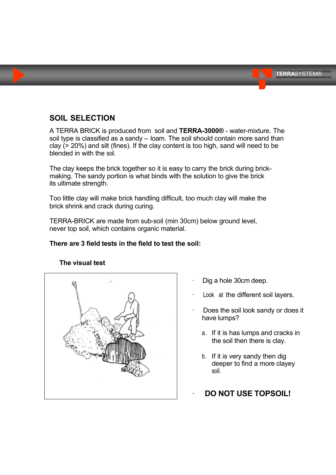## **SOIL SELECTION**

A TERRA BRICK is produced from soil and **TERRA-3000®** - water-mixture. The soil type is classified as a sandy – loam. The soil should contain more sand than clay (> 20%) and silt (fines). If the clay content is too high, sand will need to be blended in with the soil.

The clay keeps the brick together so it is easy to carry the brick during brickmaking. The sandy portion is what binds with the solution to give the brick its ultimate strength.

Too little clay will make brick handling difficult, too much clay will make the brick shrink and crack during curing.

TERRA-BRICK are made from sub-soil (min 30cm) below ground level, never top soil, which contains organic material.

#### **There are 3 field tests in the field to test the soil:**



#### **The visual test**

- Dig a hole 30cm deep.
- Look at the different soil layers.
- Does the soil look sandy or does it have lumps?
	- a. If it is has lumps and cracks in the soil then there is clay.
	- b. If it is very sandy then dig deeper to find a more clayey soil.
	- **DO NOT USE TOPSOIL!**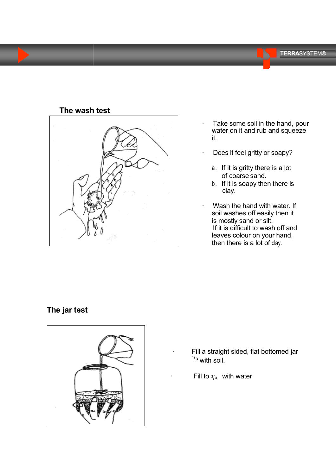

### **The wash test**

- Take some soil in the hand, pour water on it and rub and squeeze it.
- Does it feel gritty or soapy?
	- a. If it is gritty there is a lot of coarse sand.
	- b. If it is soapy then there is clay.
- Wash the hand with water. If soil washes off easily then it is mostly sand or silt. If it is difficult to wash off and leaves colour on your hand, then there is a lot of clay.

## **The jar test**



- Fill a straight sided, flat bottomed jar  $\frac{1}{3}$  with soil.
- Fill to  $\frac{2}{3}$  with water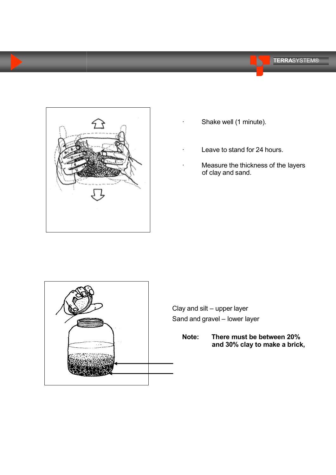



- Shake well (1 minute).
- Leave to stand for 24 hours.
- Measure the thickness of the layers of clay and sand.



Clay and silt – upper layer Sand and gravel – lower layer

> **Note: There must be between 20% and 30% clay to make a brick,**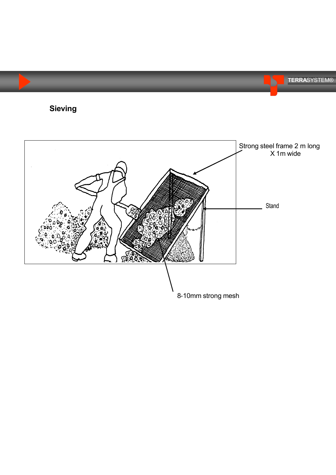

 $-30$ 

8-10mm strong mesh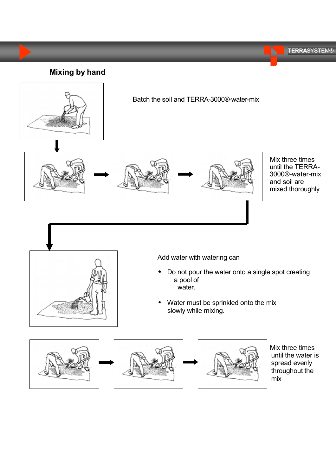**TERRA**SYSTEM®

**Mixing by hand**



Batch the soil and TERRA-3000®-water-mix







Mix three times until the TERRA-3000®-water-mix and soil are mixed thoroughly



Add water with watering can

- Do not pour the water onto a single spot creating a pool of water.
- Water must be sprinkled onto the mix slowly while mixing.



Mix three times until the water is spread evenly throughout the mix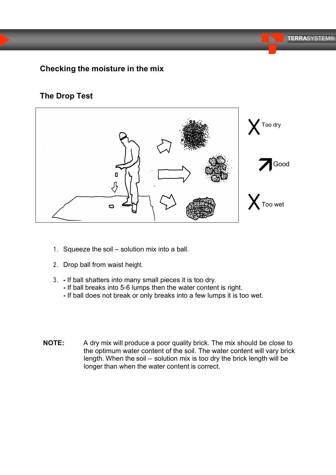## **Checking the moisture in the mix**

### **The Drop Test**



- 1. Squeeze the soil solution mix into a ball.
- 2 . Drop ball from waist height.
- 3 . **-** If ball shatters into many small pieces it is too dry.
	- **-** If ball breaks into 5-6 lumps then the water content is right.
	- **-** If ball does not break or only breaks into a few lumps it is too wet.
- **NOTE:** A dry mix will produce a poor quality brick. The mix should be close to the optimum water content of the soil. The water content will vary brick length. When the soil – solution mix is too dry the brick length will be longer than when the water content is correct.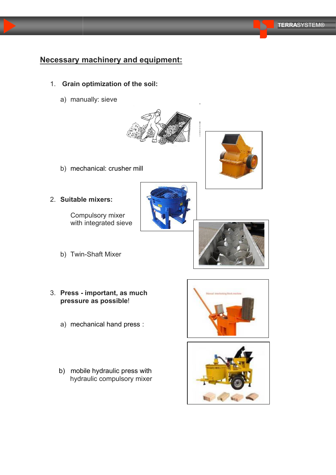## **Necessary machinery and equipment:**

- 1. **Grain optimization of the soil:**
	- a) manually: sieve



b) mechanical: crusher mill



Compulsory mixer with integrated sieve

- b) Twin-Shaft Mixer
- 3. **Press - important, as much pressure as possible**!
	- a) mechanical hand press :
	- b) mobile hydraulic press with hydraulic compulsory mixer







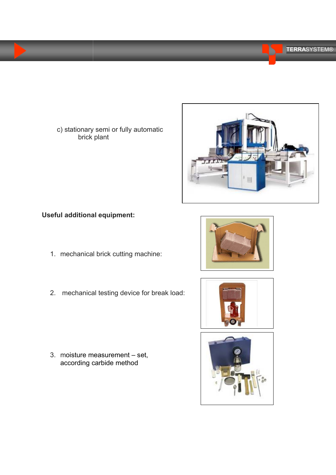c) stationary semi or fully automatic brick plant

## **Useful additional equipment:**

- 1. mechanical brick cutting machine:
- 2. mechanical testing device for break load:

3. moisture measurement – set, according carbide method





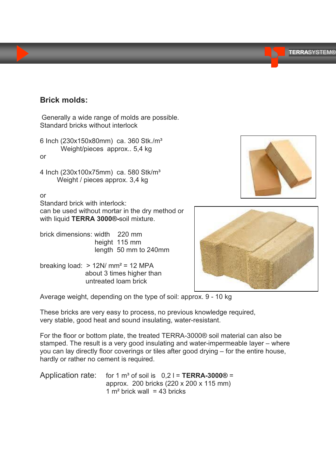#### **TERRA**SYSTEM®

### **Brick molds:**

Generally a wide range of molds are possible. Standard bricks without interlock

6 Inch (230x150x80mm) ca. 360 Stk./m³ Weight/pieces approx.. 5,4 kg or

4 Inch (230x100x75mm) ca. 580 Stk/m³ Weight / pieces approx. 3,4 kg

or

Standard brick with interlock: can be used without mortar in the dry method or with liquid **TERRA 3000®-**soil mixture.

brick dimensions: width 220 mm height 115 mm length 50 mm to 240mm

breaking load:  $> 12N/mm^2 = 12 MPA$ about 3 times higher than untreated loam brick





Average weight, depending on the type of soil: approx. 9 - 10 kg

These bricks are very easy to process, no previous knowledge required, very stable, good heat and sound insulating, water-resistant.

For the floor or bottom plate, the treated TERRA-3000® soil material can also be stamped. The result is a very good insulating and water-impermeable layer – where you can lay directly floor coverings or tiles after good drying – for the entire house, hardly or rather no cement is required.

Application rate: for 1  $m^3$  of soil is  $0,2$  I = **TERRA-3000**<sup>®</sup> = approx. 200 bricks (220 x 200 x 115 mm) 1  $m<sup>2</sup>$  brick wall = 43 bricks